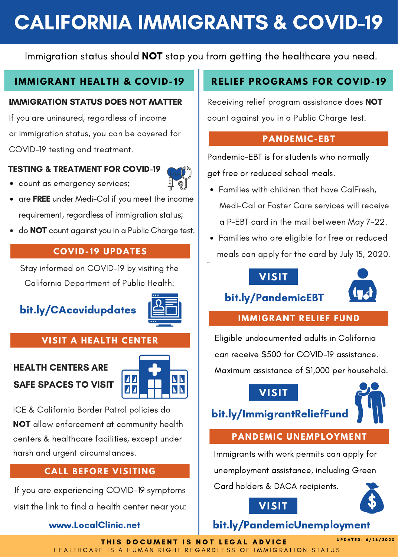# CALIFORNIA IMMIGRANTS & COVID-19

Immigration status should NOT stop you from getting the healthcare you need.

#### **IMMIGRANT HEALTH & COVID- 19**

#### IMMIGRATION STATUS DOES NOT MATTER

If you are uninsured, regardless of income or immigration status, you can be covered for COVID-19 testing and treatment.

#### TESTING & TREATMENT FOR COVID-19

count as emergency services;



- are FREE under Medi-Cal if you meet the income requirement, regardless of immigration status;
- do **NOT** count against you in a Public Charge test.

#### **COVID- 19 UPDATES**

Stay informed on COVID-19 by visiting the California Department of Public Health:

# bit.ly/CAcovidupdates



#### **VISIT A HEALTH CENTER**

## HEALTH CENTERS ARE SAFE SPACES TO VISIT



ICE & California Border Patrol policies do NOT allow enforcement at community health centers & healthcare facilities, except under harsh and urgent circumstances.

#### **CALL BEFORE VISITING**

If you are experiencing COVID-19 symptoms visit the link to find a health center near you:

#### www.LocalClinic.net

### **RELIEF PROGRAMS FOR COVID- 19**

Receiving relief program assistance does NOT count against you in a Public Charge test.

#### **PANDEMIC-EBT**

Pandemic-EBT is for students who normally get free or reduced school meals.

- Families with children that have CalFresh, Medi-Cal or Foster Care services will receive a P-EBT card in the mail between May 7-22.
- Families who are eligible for free or reduced meals can apply for the card by July 15, 2020.

#### **VISIT**



# bit.ly/PandemicEBT

#### **IMMIGRANT RELIEF FUND**

Eligible undocumented adults in California can receive \$500 for COVID-19 assistance. Maximum assistance of \$1,000 per household.



# bit.ly/ImmigrantReliefFund

#### **PANDEMIC UNEMPLOYMENT**

Immigrants with work permits can apply for

unemployment assistance, including Green

Card holders & DACA recipients. **VISIT**



# bit.ly/PandemicUnemployment

THIS DOCUMENT IS NOT LEGAL ADVICE HEALTHCARE IS A HUMAN RIGHT REGARDLESS OF IMMIGRATION STATUS

U P D A T E D : 6 / 2 6 / 2 0 2 0